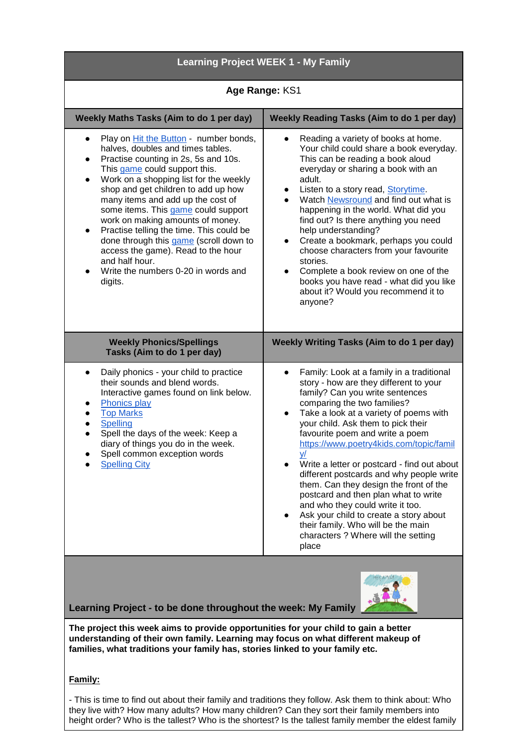| <b>Learning Project WEEK 1 - My Family</b>                                                                                                                                                                                                                                                                                                                                                                                                                                                                                                                                                                |                                                                                                                                                                                                                                                                                                                                                                                                                                                                                                                                                                                                                                                                                                             |
|-----------------------------------------------------------------------------------------------------------------------------------------------------------------------------------------------------------------------------------------------------------------------------------------------------------------------------------------------------------------------------------------------------------------------------------------------------------------------------------------------------------------------------------------------------------------------------------------------------------|-------------------------------------------------------------------------------------------------------------------------------------------------------------------------------------------------------------------------------------------------------------------------------------------------------------------------------------------------------------------------------------------------------------------------------------------------------------------------------------------------------------------------------------------------------------------------------------------------------------------------------------------------------------------------------------------------------------|
| Age Range: KS1                                                                                                                                                                                                                                                                                                                                                                                                                                                                                                                                                                                            |                                                                                                                                                                                                                                                                                                                                                                                                                                                                                                                                                                                                                                                                                                             |
| Weekly Maths Tasks (Aim to do 1 per day)                                                                                                                                                                                                                                                                                                                                                                                                                                                                                                                                                                  | <b>Weekly Reading Tasks (Aim to do 1 per day)</b>                                                                                                                                                                                                                                                                                                                                                                                                                                                                                                                                                                                                                                                           |
| Play on Hit the Button - number bonds,<br>$\bullet$<br>halves, doubles and times tables.<br>Practise counting in 2s, 5s and 10s.<br>$\bullet$<br>This game could support this.<br>Work on a shopping list for the weekly<br>$\bullet$<br>shop and get children to add up how<br>many items and add up the cost of<br>some items. This game could support<br>work on making amounts of money.<br>Practise telling the time. This could be<br>$\bullet$<br>done through this game (scroll down to<br>access the game). Read to the hour<br>and half hour.<br>Write the numbers 0-20 in words and<br>digits. | Reading a variety of books at home.<br>$\bullet$<br>Your child could share a book everyday.<br>This can be reading a book aloud<br>everyday or sharing a book with an<br>adult.<br>Listen to a story read, Storytime<br>Watch Newsround and find out what is<br>happening in the world. What did you<br>find out? Is there anything you need<br>help understanding?<br>Create a bookmark, perhaps you could<br>choose characters from your favourite<br>stories.<br>Complete a book review on one of the<br>books you have read - what did you like<br>about it? Would you recommend it to<br>anyone?                                                                                                       |
| <b>Weekly Phonics/Spellings</b><br>Tasks (Aim to do 1 per day)                                                                                                                                                                                                                                                                                                                                                                                                                                                                                                                                            | <b>Weekly Writing Tasks (Aim to do 1 per day)</b>                                                                                                                                                                                                                                                                                                                                                                                                                                                                                                                                                                                                                                                           |
| Daily phonics - your child to practice<br>$\bullet$<br>their sounds and blend words.<br>Interactive games found on link below.<br><b>Phonics play</b><br><b>Top Marks</b><br><b>Spelling</b><br>Spell the days of the week: Keep a<br>diary of things you do in the week.<br>Spell common exception words<br><b>Spelling City</b>                                                                                                                                                                                                                                                                         | Family: Look at a family in a traditional<br>$\bullet$<br>story - how are they different to your<br>family? Can you write sentences<br>comparing the two families?<br>Take a look at a variety of poems with<br>$\bullet$<br>your child. Ask them to pick their<br>favourite poem and write a poem<br>https://www.poetry4kids.com/topic/famil<br><u>y/</u><br>Write a letter or postcard - find out about<br>different postcards and why people write<br>them. Can they design the front of the<br>postcard and then plan what to write<br>and who they could write it too.<br>Ask your child to create a story about<br>their family. Who will be the main<br>characters ? Where will the setting<br>place |
| Learning Project - to be done throughout the week: My Family                                                                                                                                                                                                                                                                                                                                                                                                                                                                                                                                              |                                                                                                                                                                                                                                                                                                                                                                                                                                                                                                                                                                                                                                                                                                             |
| The project this week aims to provide opportunities for your child to gain a better<br>understanding of their own family. Learning may focus on what different makeup of<br>families, what traditions your family has, stories linked to your family etc.                                                                                                                                                                                                                                                                                                                                                 |                                                                                                                                                                                                                                                                                                                                                                                                                                                                                                                                                                                                                                                                                                             |
| Family:<br>- This is time to find out about their family and traditions they follow. Ask them to think about: Who<br>they live with? How many adults? How many children? Can they sort their family members into                                                                                                                                                                                                                                                                                                                                                                                          |                                                                                                                                                                                                                                                                                                                                                                                                                                                                                                                                                                                                                                                                                                             |

height order? Who is the tallest? Who is the shortest? Is the tallest family member the eldest family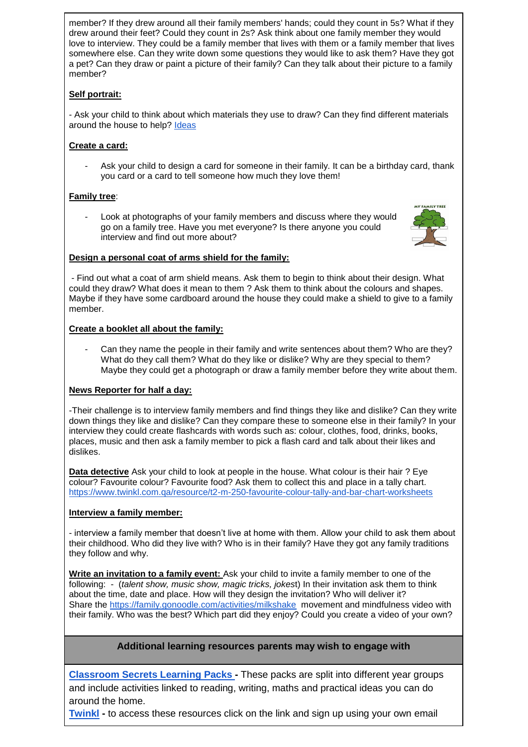member? If they drew around all their family members' hands; could they count in 5s? What if they drew around their feet? Could they count in 2s? Ask think about one family member they would love to interview. They could be a family member that lives with them or a family member that lives somewhere else. Can they write down some questions they would like to ask them? Have they got a pet? Can they draw or paint a picture of their family? Can they talk about their picture to a family member?

## **Self portrait:**

- Ask your child to think about which materials they use to draw? Can they find different materials around the house to help? [Ideas](https://www.bbc.co.uk/teach/class-clips-video/art-and-design-draw-self-portrait/z6ytscw%20%20https:/www.hellowonderful.co/post/12-CREATIVE-SELF-PORTRAIT-ART-PROJECTS-FOR-KIDS/) 

## **Create a card:**

Ask your child to design a card for someone in their family. It can be a birthday card, thank you card or a card to tell someone how much they love them!

## **Family tree**:

Look at photographs of your family members and discuss where they would go on a family tree. Have you met everyone? Is there anyone you could interview and find out more about?



#### **Design a personal coat of arms shield for the family:**

- Find out what a coat of arm shield means. Ask them to begin to think about their design. What could they draw? What does it mean to them ? Ask them to think about the colours and shapes. Maybe if they have some cardboard around the house they could make a shield to give to a family member.

### **Create a booklet all about the family:**

Can they name the people in their family and write sentences about them? Who are they? What do they call them? What do they like or dislike? Why are they special to them? Maybe they could get a photograph or draw a family member before they write about them.

### **News Reporter for half a day:**

-Their challenge is to interview family members and find things they like and dislike? Can they write down things they like and dislike? Can they compare these to someone else in their family? In your interview they could create flashcards with words such as: colour, clothes, food, drinks, books, places, music and then ask a family member to pick a flash card and talk about their likes and dislikes.

**Data detective** Ask your child to look at people in the house. What colour is their hair ? Eye colour? Favourite colour? Favourite food? Ask them to collect this and place in a tally chart. <https://www.twinkl.com.qa/resource/t2-m-250-favourite-colour-tally-and-bar-chart-worksheets>

### **Interview a family member:**

- interview a family member that doesn't live at home with them. Allow your child to ask them about their childhood. Who did they live with? Who is in their family? Have they got any family traditions they follow and why.

**Write an invitation to a family event:** Ask your child to invite a family member to one of the following: - (*talent show, music show, magic tricks, jokes*t) In their invitation ask them to think about the time, date and place. How will they design the invitation? Who will deliver it? Share the<https://family.gonoodle.com/activities/milkshake>movement and mindfulness video with their family. Who was the best? Which part did they enjoy? Could you create a video of your own?

# **Additional learning resources parents may wish to engage with**

**[Classroom Secrets Learning Packs -](https://classroomsecrets.co.uk/free-home-learning-packs/)** These packs are split into different year groups and include activities linked to reading, writing, maths and practical ideas you can do around the home.

**[Twinkl](https://www.twinkl.co.uk/offer/UKTWINKLHELPS?utm_source=promo&utm_medium=email&utm_campaign=England_coronavirus_schools_email&utm_content=offer_link) -** to access these resources click on the link and sign up using your own email